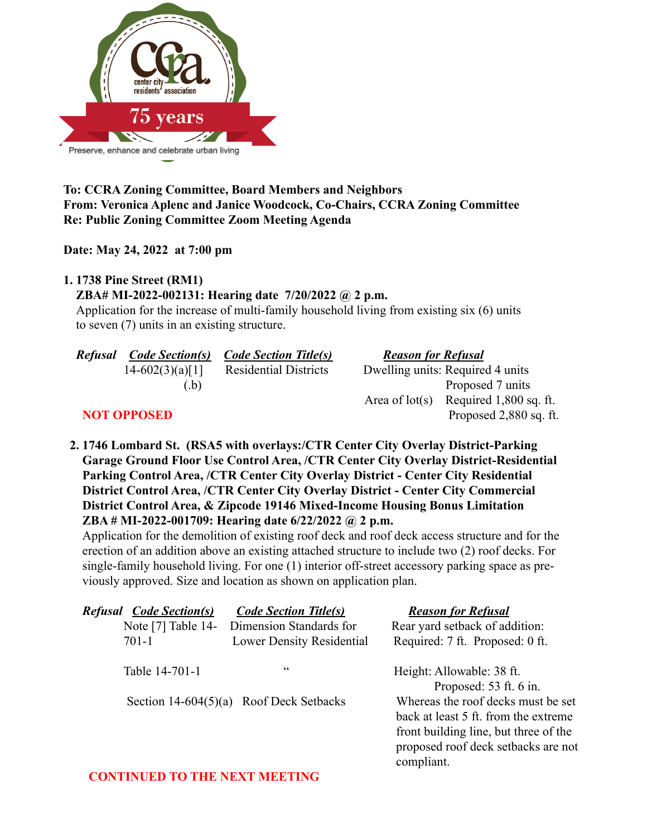

# **To: CCRA Zoning Committee, Board Members and Neighbors From: Veronica Aplenc and Janice Woodcock, Co-Chairs, CCRA Zoning Committee Re: Public Zoning Committee Zoom Meeting Agenda**

### **Date: May 24, 2022 at 7:00 pm**

#### **1. 1738 Pine Street (RM1)**

# **ZBA# MI-2022-002131: Hearing date 7/20/2022 @ 2 p.m.**

Application for the increase of multi-family household living from existing six (6) units to seven (7) units in an existing structure.

| <b>Refusal</b>     | <b>Code Section(s)</b> | <b>Code Section Title(s)</b> | <b>Reason for Refusal</b> |                                  |
|--------------------|------------------------|------------------------------|---------------------------|----------------------------------|
|                    | $14-602(3)(a)[1]$      | <b>Residential Districts</b> |                           | Dwelling units: Required 4 units |
|                    | (b)                    |                              |                           | Proposed 7 units                 |
|                    |                        |                              | Area of $lot(s)$          | Required 1,800 sq. ft.           |
| <b>NOT OPPOSED</b> |                        |                              |                           | Proposed 2,880 sq. ft.           |

**2. 1746 Lombard St. (RSA5 with overlays:/CTR Center City Overlay District-Parking Garage Ground Floor Use Control Area, /CTR Center City Overlay District-Residential Parking Control Area, /CTR Center City Overlay District - Center City Residential District Control Area, /CTR Center City Overlay District - Center City Commercial District Control Area, & Zipcode 19146 Mixed-Income Housing Bonus Limitation ZBA # MI-2022-001709: Hearing date 6/22/2022 @ 2 p.m.**

Application for the demolition of existing roof deck and roof deck access structure and for the erection of an addition above an existing attached structure to include two (2) roof decks. For single-family household living. For one (1) interior off-street accessory parking space as previously approved. Size and location as shown on application plan.

| <b>Refusal Code Section(s)</b> | <b>Code Section Title(s)</b>              | <b>Reason for Refusal</b>                                                                                                                                                |
|--------------------------------|-------------------------------------------|--------------------------------------------------------------------------------------------------------------------------------------------------------------------------|
| Note [7] Table 14-             | Dimension Standards for                   | Rear yard setback of addition:                                                                                                                                           |
| $701-1$                        | <b>Lower Density Residential</b>          | Required: 7 ft. Proposed: 0 ft.                                                                                                                                          |
| Table 14-701-1                 | cc                                        | Height: Allowable: 38 ft.<br>Proposed: 53 ft. 6 in.                                                                                                                      |
|                                | Section $14-604(5)(a)$ Roof Deck Setbacks | Whereas the roof decks must be set<br>back at least 5 ft. from the extreme<br>front building line, but three of the<br>proposed roof deck setbacks are not<br>compliant. |

### **CONTINUED TO THE NEXT MEETING**